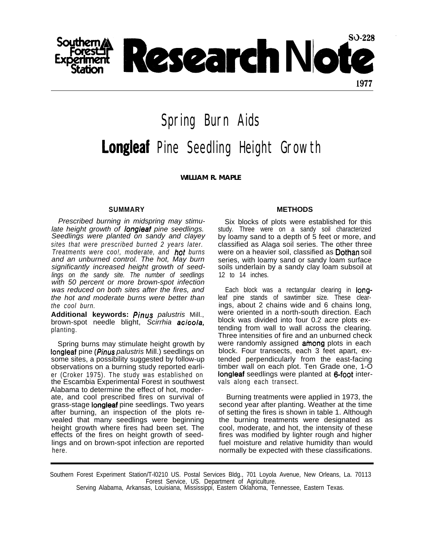

Spring Burn Aids Longleaf Pine Seedling Height Growth

*WILLIAM R. MAPLE*

## **SUMMARY**

*Prescribed burning in midspring may stimulate height growth of longleaf pine seedlings. Seedlings were planted on sandy and clayey sites that were prescribed burned 2 years later. Treatments were coo!, moderate, and hot burns and an unburned control. The hot, May burn significantly increased height growth of seedlings on the sandy site. The number of seedlings with 50 percent or more brown-spot infection was reduced on both sites after the fires, and the hot and moderate burns were better than the cool burn.*

**Additional keywords:** *Pinus palustris* Mill., brown-spot needle blight, *Scirrhia acicola,* planting.

Spring burns may stimulate height growth by longleaf pine *(Pinus palustris* Mill.) seedlings on some sites, a possibility suggested by follow-up observations on a burning study reported earlier (Croker 1975). The study was established on the Escambia Experimental Forest in southwest Alabama to determine the effect of hot, moderate, and cool prescribed fires on survival of grass-stage longleaf pine seedlings. Two years after burning, an inspection of the plots revealed that many seedlings were beginning height growth where fires had been set. The effects of the fires on height growth of seedlings and on brown-spot infection are reported here.

## **METHODS**

Six blocks of plots were established for this study. Three were on a sandy soil characterized by loamy sand to a depth of 5 feet or more, and classified as Alaga soil series. The other three were on a heavier soil, classified as **Dothan** soil series, with loamy sand or sandy loam surface soils underlain by a sandy clay loam subsoil at 12 to 14 inches.

Each block was a rectangular clearing in **long**leaf pine stands of sawtimber size. These clearings, about 2 chains wide and 6 chains long, were oriented in a north-south direction. Each block was divided into four 0.2 acre plots extending from wall to wall across the clearing. Three intensities of fire and an unburned check were randomly assigned among plots in each block. Four transects, each 3 feet apart, extended perpendicularly from the east-facing timber wall on each plot. Ten Grade one, 1-O longleaf seedlings were planted at 6-foot intervals along each transect.

Burning treatments were applied in 1973, the second year after planting. Weather at the time of setting the fires is shown in table 1. Although the burning treatments were designated as cool, moderate, and hot, the intensity of these fires was modified by lighter rough and higher fuel moisture and relative humidity than would normally be expected with these classifications.

Southern Forest Experiment Station/T-l0210 US. Postal Services Bldg., 701 Loyola Avenue, New Orleans, La. 70113 Forest Service, US. Department of Agriculture.

Serving Alabama, Arkansas, Louisiana, Mississippi, Eastern Oklahoma, Tennessee, Eastern Texas.